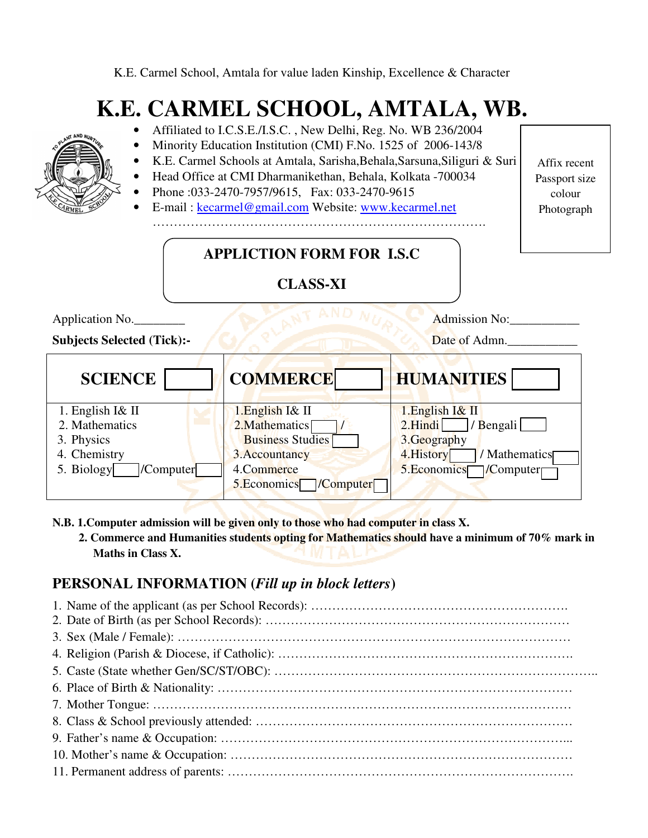K.E. Carmel School, Amtala for value laden Kinship, Excellence & Character

## **K.E. CARMEL SCHOOL, AMTALA, WB.**

| Affiliated to I.C.S.E./I.S.C., New Delhi, Reg. No. WB 236/2004<br>Minority Education Institution (CMI) F.No. 1525 of 2006-143/8<br>K.E. Carmel Schools at Amtala, Sarisha, Behala, Sarsuna, Siliguri & Suri<br>Head Office at CMI Dharmanikethan, Behala, Kolkata -700034<br>Phone: 033-2470-7957/9615, Fax: 033-2470-9615<br>E-mail: kecarmel@gmail.com Website: www.kecarmel.net<br><b>APPLICTION FORM FOR I.S.C</b> |                                                                                                                           |                                                                                                                       | Affix recent<br>Passport size<br>colour<br>Photograph |
|------------------------------------------------------------------------------------------------------------------------------------------------------------------------------------------------------------------------------------------------------------------------------------------------------------------------------------------------------------------------------------------------------------------------|---------------------------------------------------------------------------------------------------------------------------|-----------------------------------------------------------------------------------------------------------------------|-------------------------------------------------------|
| <b>CLASS-XI</b>                                                                                                                                                                                                                                                                                                                                                                                                        |                                                                                                                           |                                                                                                                       |                                                       |
| Application No.<br><b>Subjects Selected (Tick):-</b>                                                                                                                                                                                                                                                                                                                                                                   |                                                                                                                           | Admission No:<br>Date of Admn.                                                                                        |                                                       |
| <b>SCIENCE</b>                                                                                                                                                                                                                                                                                                                                                                                                         | <b>COMMERCE</b>                                                                                                           | <b>HUMANITIES</b>                                                                                                     |                                                       |
| 1. English $I\&$ II<br>2. Mathematics<br>3. Physics<br>4. Chemistry<br>5. Biology<br>/Computer                                                                                                                                                                                                                                                                                                                         | 1.English I& II<br>2. Mathematics<br><b>Business Studies</b><br>3. Accountancy<br>4.Commerce<br>5.Economics<br> /Computer | 1. English I& II<br>$2.Hindi$  <br>/ Bengali<br>3.Geography<br>/ Mathematics<br>4. History<br>5. Economics / Computer |                                                       |

**N.B. 1.Computer admission will be given only to those who had computer in class X.** 

 **2. Commerce and Humanities students opting for Mathematics should have a minimum of 70% mark in Maths in Class X.** 

## **PERSONAL INFORMATION (***Fill up in block letters***)**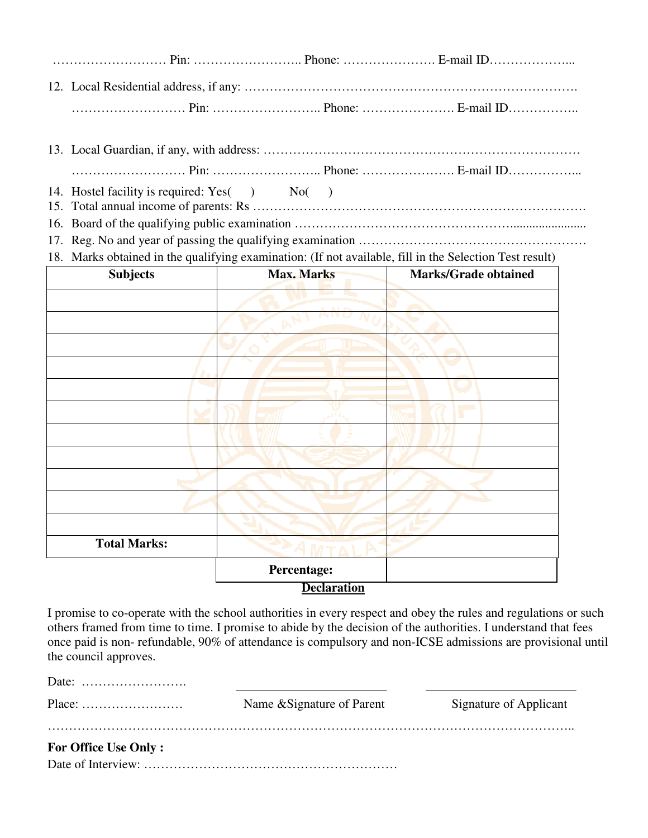- 
- 14. Hostel facility is required:  $Yes( )$  No $( )$ 15. Total annual income of parents: Rs …………………………………………………………………….
- 16. Board of the qualifying public examination ………………………………………………………………………………………
- 17. Reg. No and year of passing the qualifying examination ………………………………………………………
- 18. Marks obtained in the qualifying examination: (If not available, fill in the Selection Test result)

| <b>Subjects</b>     | <b>Max. Marks</b>  | <b>Marks/Grade obtained</b> |
|---------------------|--------------------|-----------------------------|
|                     |                    |                             |
|                     |                    |                             |
|                     |                    |                             |
|                     |                    |                             |
|                     |                    |                             |
|                     |                    |                             |
|                     |                    |                             |
|                     |                    |                             |
|                     |                    |                             |
|                     |                    |                             |
|                     |                    |                             |
| <b>Total Marks:</b> |                    |                             |
|                     | Percentage:        |                             |
|                     | <b>Declaration</b> |                             |

I promise to co-operate with the school authorities in every respect and obey the rules and regulations or such others framed from time to time. I promise to abide by the decision of the authorities. I understand that fees once paid is non- refundable, 90% of attendance is compulsory and non-ICSE admissions are provisional until the council approves.

| Date: $\dots\dots\dots\dots\dots\dots\dots\dots\dots$ |                            |                        |
|-------------------------------------------------------|----------------------------|------------------------|
|                                                       | Name & Signature of Parent | Signature of Applicant |
| <b>For Office Use Only:</b>                           |                            |                        |
|                                                       |                            |                        |